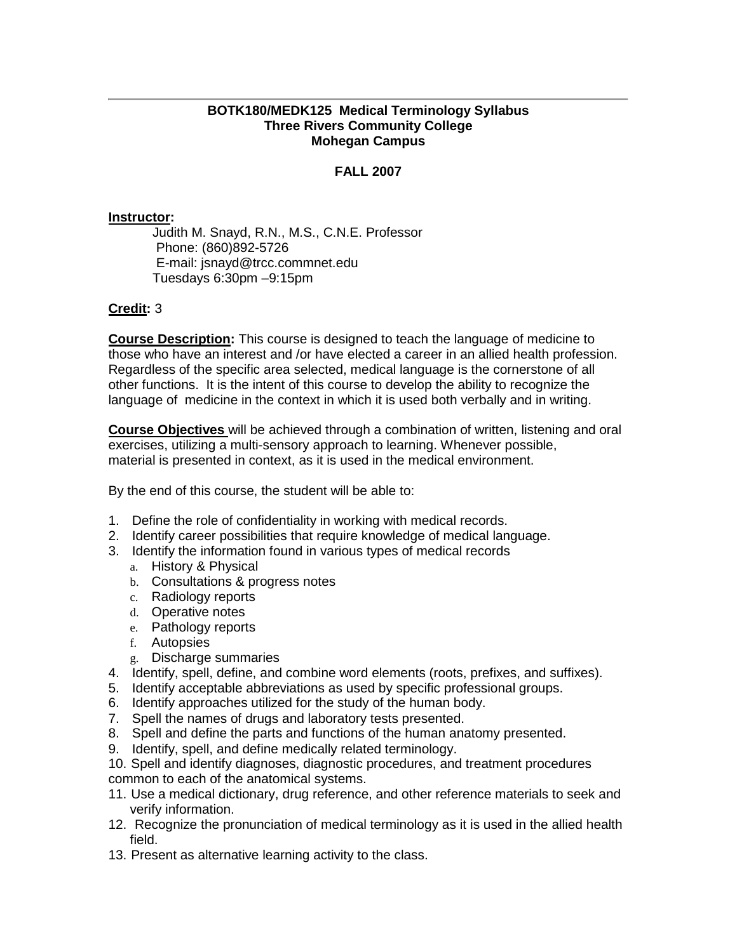### **BOTK180/MEDK125 Medical Terminology Syllabus Three Rivers Community College Mohegan Campus**

# **FALL 2007**

### **Instructor:**

Judith M. Snayd, R.N., M.S., C.N.E. Professor Phone: (860)892-5726 E-mail: jsnayd@trcc.commnet.edu Tuesdays 6:30pm –9:15pm

### **Credit:** 3

**Course Description:** This course is designed to teach the language of medicine to those who have an interest and /or have elected a career in an allied health profession. Regardless of the specific area selected, medical language is the cornerstone of all other functions. It is the intent of this course to develop the ability to recognize the language of medicine in the context in which it is used both verbally and in writing.

**Course Objectives** will be achieved through a combination of written, listening and oral exercises, utilizing a multi-sensory approach to learning. Whenever possible, material is presented in context, as it is used in the medical environment.

By the end of this course, the student will be able to:

- 1. Define the role of confidentiality in working with medical records.
- 2. Identify career possibilities that require knowledge of medical language.
- 3. Identify the information found in various types of medical records
	- a. History & Physical
	- b. Consultations & progress notes
	- c. Radiology reports
	- d. Operative notes
	- e. Pathology reports
	- f. Autopsies
	- g. Discharge summaries
- 4. Identify, spell, define, and combine word elements (roots, prefixes, and suffixes).
- 5. Identify acceptable abbreviations as used by specific professional groups.
- 6. Identify approaches utilized for the study of the human body.
- 7. Spell the names of drugs and laboratory tests presented.
- 8. Spell and define the parts and functions of the human anatomy presented.
- 9. Identify, spell, and define medically related terminology.
- 10. Spell and identify diagnoses, diagnostic procedures, and treatment procedures common to each of the anatomical systems.
- 11. Use a medical dictionary, drug reference, and other reference materials to seek and verify information.
- 12. Recognize the pronunciation of medical terminology as it is used in the allied health field.
- 13. Present as alternative learning activity to the class.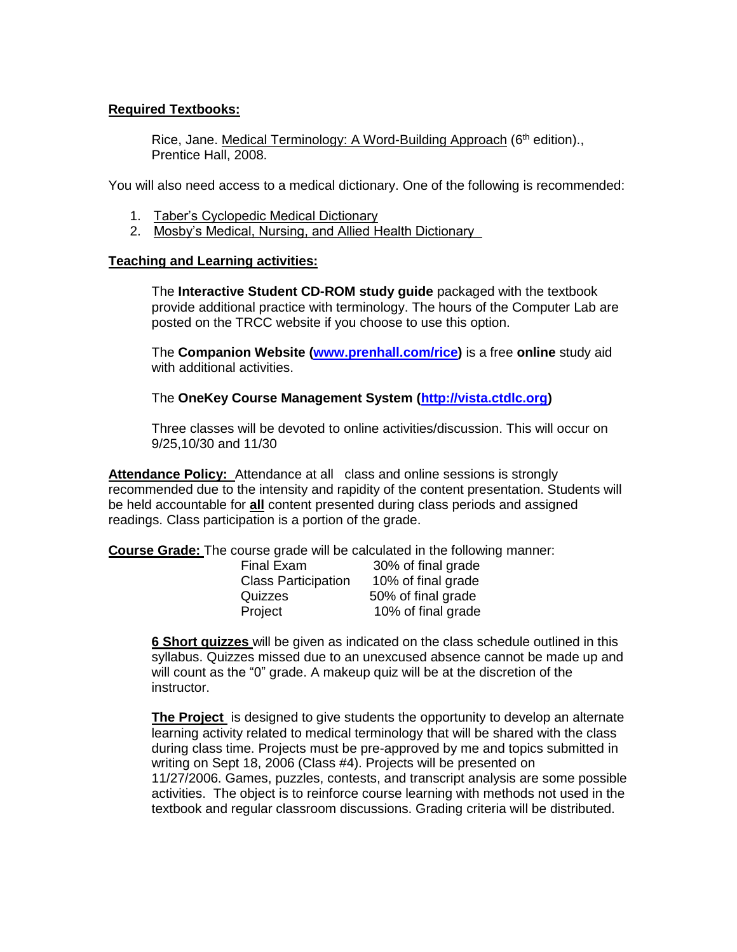## **Required Textbooks:**

Rice, Jane. Medical Terminology: A Word-Building Approach (6<sup>th</sup> edition)., Prentice Hall, 2008.

You will also need access to a medical dictionary. One of the following is recommended:

- 1. Taber's Cyclopedic Medical Dictionary
- 2. Mosby's Medical, Nursing, and Allied Health Dictionary

## **Teaching and Learning activities:**

The **Interactive Student CD-ROM study guide** packaged with the textbook provide additional practice with terminology. The hours of the Computer Lab are posted on the TRCC website if you choose to use this option.

The **Companion Website (www.prenhall.com/rice)** is a free **online** study aid with additional activities.

The **OneKey Course Management System [\(http://vista.ctdlc.org\)](http://vista.ctdlc.org/)**

Three classes will be devoted to online activities/discussion. This will occur on 9/25,10/30 and 11/30

**Attendance Policy:** Attendance at all class and online sessions is strongly recommended due to the intensity and rapidity of the content presentation. Students will be held accountable for **all** content presented during class periods and assigned readings. Class participation is a portion of the grade.

**Course Grade:** The course grade will be calculated in the following manner:

| Final Exam                 | 30% of final grade |
|----------------------------|--------------------|
| <b>Class Participation</b> | 10% of final grade |
| Quizzes                    | 50% of final grade |
| Project                    | 10% of final grade |

**6 Short quizzes** will be given as indicated on the class schedule outlined in this syllabus. Quizzes missed due to an unexcused absence cannot be made up and will count as the "0" grade. A makeup quiz will be at the discretion of the instructor.

**The Project** is designed to give students the opportunity to develop an alternate learning activity related to medical terminology that will be shared with the class during class time. Projects must be pre-approved by me and topics submitted in writing on Sept 18, 2006 (Class #4). Projects will be presented on 11/27/2006. Games, puzzles, contests, and transcript analysis are some possible activities. The object is to reinforce course learning with methods not used in the textbook and regular classroom discussions. Grading criteria will be distributed.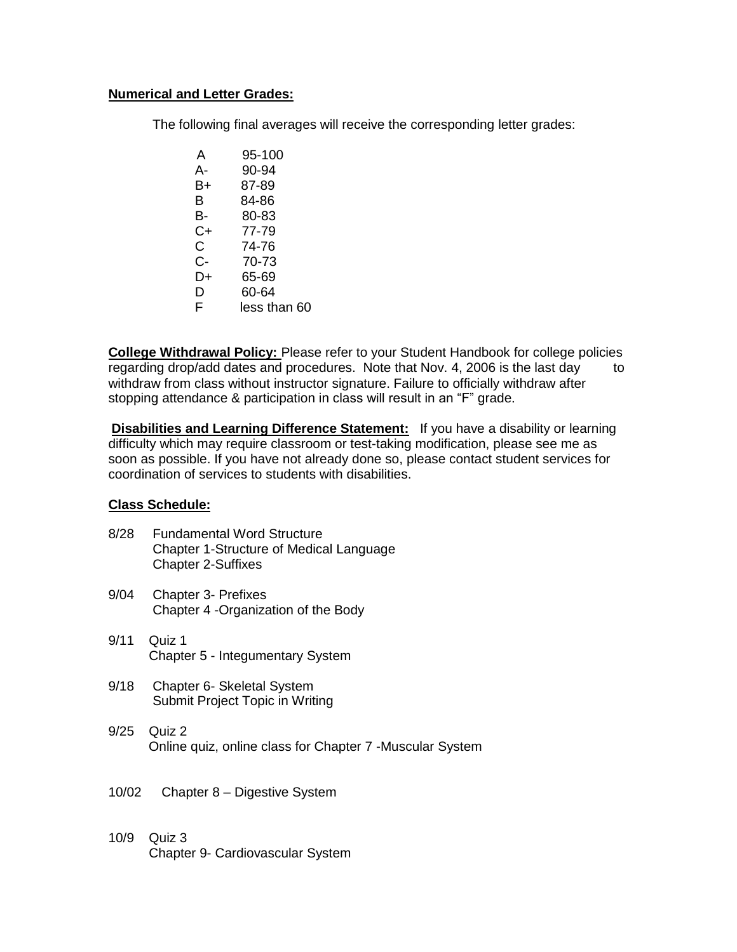## **Numerical and Letter Grades:**

The following final averages will receive the corresponding letter grades:

| A            | 95-100       |
|--------------|--------------|
| А-           | 90-94        |
| B+           | 87-89        |
| в            | 84-86        |
| В-           | 80-83        |
| $C+$         | 77-79        |
| $\mathsf{C}$ | 74-76        |
| C-           | 70-73        |
| D+           | 65-69        |
| D            | 60-64        |
| F            | less than 60 |

**College Withdrawal Policy:** Please refer to your Student Handbook for college policies regarding drop/add dates and procedures. Note that Nov. 4, 2006 is the last day to withdraw from class without instructor signature. Failure to officially withdraw after stopping attendance & participation in class will result in an "F" grade.

**Disabilities and Learning Difference Statement:** If you have a disability or learning difficulty which may require classroom or test-taking modification, please see me as soon as possible. If you have not already done so, please contact student services for coordination of services to students with disabilities.

### **Class Schedule:**

- 8/28 Fundamental Word Structure Chapter 1-Structure of Medical Language Chapter 2-Suffixes
- 9/04 Chapter 3- Prefixes Chapter 4 -Organization of the Body
- 9/11 Quiz 1 Chapter 5 - Integumentary System
- 9/18 Chapter 6- Skeletal System Submit Project Topic in Writing
- 9/25 Quiz 2 Online quiz, online class for Chapter 7 -Muscular System
- 10/02 Chapter 8 Digestive System
- 10/9 Quiz 3 Chapter 9- Cardiovascular System